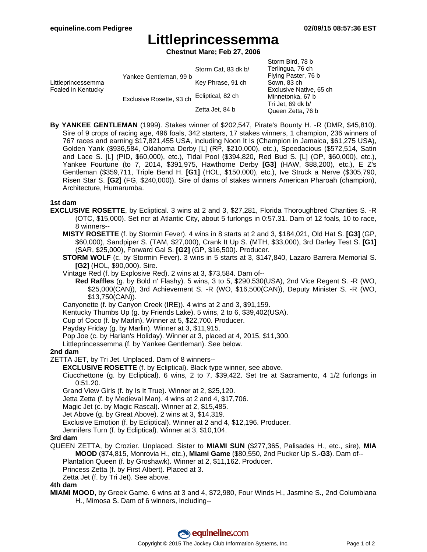# **Littleprincessemma**

**Chestnut Mare; Feb 27, 2006**

| Littleprincessemma<br>Foaled in Kentucky | Yankee Gentleman, 99 b   | Storm Cat, 83 dk b/ | Storm Bird, 78 b<br>Terlingua, 76 ch<br>Flying Paster, 76 b<br>Sown, 83 ch |
|------------------------------------------|--------------------------|---------------------|----------------------------------------------------------------------------|
|                                          |                          | Key Phrase, 91 ch   |                                                                            |
|                                          |                          |                     | Exclusive Native, 65 ch                                                    |
|                                          | Exclusive Rosette, 93 ch | Ecliptical, 82 ch   | Minnetonka, 67 b<br>Tri Jet, 69 dk b/<br>Queen Zetta, 76 b                 |
|                                          |                          | Zetta Jet, 84 b     |                                                                            |

**By YANKEE GENTLEMAN** (1999). Stakes winner of \$202,547, Pirate's Bounty H. -R (DMR, \$45,810). Sire of 9 crops of racing age, 496 foals, 342 starters, 17 stakes winners, 1 champion, 236 winners of 767 races and earning \$17,821,455 USA, including Noon It Is (Champion in Jamaica, \$61,275 USA), Golden Yank (\$936,584, Oklahoma Derby [L] (RP, \$210,000), etc.), Speedacious (\$572,514, Satin and Lace S. [L] (PID, \$60,000), etc.), Tidal Pool (\$394,820, Red Bud S. [L] (OP, \$60,000), etc.), Yankee Fourtune (to 7, 2014, \$391,975, Hawthorne Derby **[G3]** (HAW, \$88,200), etc.), E Z's Gentleman (\$359,711, Triple Bend H. **[G1]** (HOL, \$150,000), etc.), Ive Struck a Nerve (\$305,790, Risen Star S. **[G2]** (FG, \$240,000)). Sire of dams of stakes winners American Pharoah (champion), Architecture, Humarumba.

#### **1st dam**

- **EXCLUSIVE ROSETTE**, by Ecliptical. 3 wins at 2 and 3, \$27,281, Florida Thoroughbred Charities S. -R (OTC, \$15,000). Set ncr at Atlantic City, about 5 furlongs in 0:57.31. Dam of 12 foals, 10 to race, 8 winners--
	- **MISTY ROSETTE** (f. by Stormin Fever). 4 wins in 8 starts at 2 and 3, \$184,021, Old Hat S. **[G3]** (GP, \$60,000), Sandpiper S. (TAM, \$27,000), Crank It Up S. (MTH, \$33,000), 3rd Darley Test S. **[G1]** (SAR, \$25,000), Forward Gal S. **[G2]** (GP, \$16,500). Producer.
	- **STORM WOLF** (c. by Stormin Fever). 3 wins in 5 starts at 3, \$147,840, Lazaro Barrera Memorial S. **[G2]** (HOL, \$90,000). Sire.
	- Vintage Red (f. by Explosive Red). 2 wins at 3, \$73,584. Dam of--
		- **Red Raffles** (g. by Bold n' Flashy). 5 wins, 3 to 5, \$290,530(USA), 2nd Vice Regent S. -R (WO, \$25,000(CAN)), 3rd Achievement S. -R (WO, \$16,500(CAN)), Deputy Minister S. -R (WO, \$13,750(CAN)).
	- Canyonette (f. by Canyon Creek (IRE)). 4 wins at 2 and 3, \$91,159.
	- Kentucky Thumbs Up (g. by Friends Lake). 5 wins, 2 to 6, \$39,402(USA).
	- Cup of Coco (f. by Marlin). Winner at 5, \$22,700. Producer.
	- Payday Friday (g. by Marlin). Winner at 3, \$11,915.
	- Pop Joe (c. by Harlan's Holiday). Winner at 3, placed at 4, 2015, \$11,300.

Littleprincessemma (f. by Yankee Gentleman). See below.

### **2nd dam**

ZETTA JET, by Tri Jet. Unplaced. Dam of 8 winners--

**EXCLUSIVE ROSETTE** (f. by Ecliptical). Black type winner, see above.

Ciucchettone (g. by Ecliptical). 6 wins, 2 to 7, \$39,422. Set tre at Sacramento, 4 1/2 furlongs in 0:51.20.

Grand View Girls (f. by Is It True). Winner at 2, \$25,120.

Jetta Zetta (f. by Medieval Man). 4 wins at 2 and 4, \$17,706.

Magic Jet (c. by Magic Rascal). Winner at 2, \$15,485.

Jet Above (g. by Great Above). 2 wins at 3, \$14,319.

Exclusive Emotion (f. by Ecliptical). Winner at 2 and 4, \$12,196. Producer.

Jennifers Turn (f. by Ecliptical). Winner at 3, \$10,104.

#### **3rd dam**

QUEEN ZETTA, by Crozier. Unplaced. Sister to **MIAMI SUN** (\$277,365, Palisades H., etc., sire), **MIA MOOD** (\$74,815, Monrovia H., etc.), **Miami Game** (\$80,550, 2nd Pucker Up S.**-G3**). Dam of-- Plantation Queen (f. by Groshawk). Winner at 2, \$11,162. Producer.

Princess Zetta (f. by First Albert). Placed at 3.

Zetta Jet (f. by Tri Jet). See above.

#### **4th dam**

**MIAMI MOOD**, by Greek Game. 6 wins at 3 and 4, \$72,980, Four Winds H., Jasmine S., 2nd Columbiana H., Mimosa S. Dam of 6 winners, including--